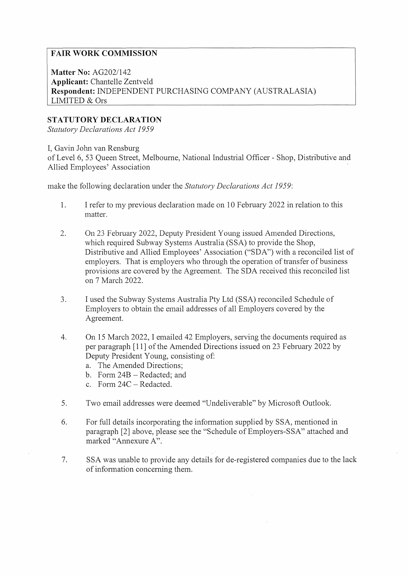## **FAIR WORK COMMISSION**

**Matter No:** AG202/142 **Applicant:** Chantelle Zentveld **Respondent:** INDEPENDENT PURCHASING COMPANY (AUSTRALASIA) LIMITED & Ors

## **STATUTORY DECLARATION**

*Statutory Declarations Act 1959* 

I, Gavin John van Rensburg

of Level 6, 53 Queen Street, Melbourne, National Industrial Officer - Shop, Distributive and Allied Employees' Association

make the following declaration under the *Statutory Declarations Act 1959:* 

- 1. I refer to my previous declaration made on 10 February 2022 in relation to this matter.
- 2. On 23 February 2022, Deputy President Young issued Amended Directions, which required Subway Systems Australia (SSA) to provide the Shop, Distributive and Allied Employees' Association ("SDA") with a reconciled list of employers. That is employers who through the operation of transfer of business provisions are covered by the Agreement. The SDA received this reconciled list on 7 March 2022.
- 3. I used the Subway Systems Australia Pty Ltd (SSA) reconciled Schedule of Employers to obtain the email addresses of all Employers covered by the Agreement.
- 4. On 15 March 2022, I emailed 42 Employers, serving the documents required as per paragraph [ 11] of the Amended Directions issued on 23 February 2022 by Deputy President Young, consisting of:
	- a. The Amended Directions;
	- b. Form  $24B -$ Redacted; and
	- c. Form  $24C -$ Redacted.
- 5. Two email addresses were deemed "Undeliverable" by Microsoft Outlook.
- 6. For full details incorporating the infonnation supplied by SSA, mentioned in paragraph [2] above, please see the "Schedule of Employers-SSA" attached and marked "Annexure A".
- 7. SSA was unable to provide any details for de-registered companies due to the lack of information concerning them.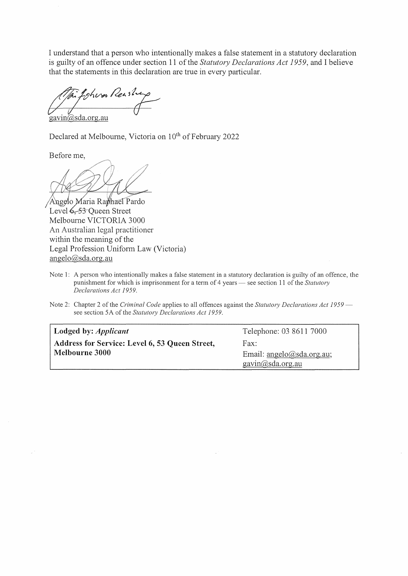I understand that a person who intentionally makes a false statement in a statutory declaration is guilty of an offence under section 11 of the *Statutory Declarations Act 1959*, and I believe that the statements in this declaration are true in every particular.

Lyhvar Reashe gavin@sda.org.au

Declared at Melbourne, Victoria on 10<sup>th</sup> of February 2022

Before me,

Angelo Maria Raphael Pardo Level 6, 53 Oueen Street Melbourne VICTORIA 3000 An Australian legal practitioner within the meaning of the Legal Profession Uniform Law (Victoria) angelo@sda.org.au

Note 1: A person who intentionally makes a false statement in a statutory declaration is guilty of an offence, the punishment for which is imprisonment for a term of 4 years — see section 11 of the *Statutory Declarations Act 1959.* 

Note 2: Chapter 2 of the *Criminal Code* applies to all offences against the *Statutory Declarations Act 1959* see section 5A of the *Statutory Declarations Act 1959*.

| Lodged by: <i>Applicant</i>                    | Telephone: 03 8611 7000   |
|------------------------------------------------|---------------------------|
| Address for Service: Level 6, 53 Queen Street, | Fax:                      |
| <b>Melbourne 3000</b>                          | Email: angelo@sda.org.au; |
|                                                | gavin@sda.org.au          |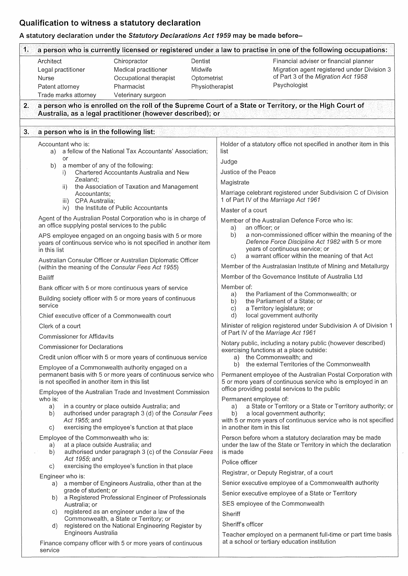## **Qualification to witness a statutory declaration**

## **A statutory declaration under the Statutory Declarations Act 1959 may be made before-**

|    | Architect<br>Legal practitioner<br>Nurse<br>Patent attorney<br>Trade marks attorney | Chiropractor<br>Medical practitioner<br>Occupational therapist<br>Pharmacist<br>Veterinary surgeon                                                        | Dentist<br>Midwife<br>Optometrist<br>Physiotherapist |                          | Financial adviser or financial planner<br>Migration agent registered under Division 3<br>of Part 3 of the Migration Act 1958<br>Psychologist                                                                             |  |  |  |  |  |
|----|-------------------------------------------------------------------------------------|-----------------------------------------------------------------------------------------------------------------------------------------------------------|------------------------------------------------------|--------------------------|--------------------------------------------------------------------------------------------------------------------------------------------------------------------------------------------------------------------------|--|--|--|--|--|
| 2. |                                                                                     | Australia, as a legal practitioner (however described); or                                                                                                |                                                      |                          | a person who is enrolled on the roll of the Supreme Court of a State or Territory, or the High Court of                                                                                                                  |  |  |  |  |  |
| 3. | a person who is in the following list:                                              |                                                                                                                                                           |                                                      |                          |                                                                                                                                                                                                                          |  |  |  |  |  |
|    | Accountant who is:<br>a)<br>or                                                      | a fellow of the National Tax Accountants' Association;                                                                                                    |                                                      | list                     | Holder of a statutory office not specified in another item in this                                                                                                                                                       |  |  |  |  |  |
|    | b)<br>$\mathbf{I}$                                                                  | a member of any of the following:<br>Chartered Accountants Australia and New                                                                              |                                                      | Judge                    | Justice of the Peace                                                                                                                                                                                                     |  |  |  |  |  |
|    | Zealand;<br>ii)                                                                     | the Association of Taxation and Management                                                                                                                |                                                      | Magistrate               |                                                                                                                                                                                                                          |  |  |  |  |  |
|    | Accountants;<br>CPA Australia;<br>iii)                                              | the Institute of Public Accountants                                                                                                                       |                                                      |                          | Marriage celebrant registered under Subdivision C of Division<br>1 of Part IV of the Marriage Act 1961                                                                                                                   |  |  |  |  |  |
|    | iv)                                                                                 |                                                                                                                                                           |                                                      |                          | Master of a court                                                                                                                                                                                                        |  |  |  |  |  |
|    | an office supplying postal services to the public                                   | Agent of the Australian Postal Corporation who is in charge of<br>APS employee engaged on an ongoing basis with 5 or more                                 |                                                      | a)<br>b)                 | Member of the Australian Defence Force who is:<br>an officer; or<br>a non-commissioned officer within the meaning of the                                                                                                 |  |  |  |  |  |
|    | in this list                                                                        | years of continuous service who is not specified in another item                                                                                          |                                                      | C)                       | Defence Force Discipline Act 1982 with 5 or more<br>years of continuous service; or<br>a warrant officer within the meaning of that Act                                                                                  |  |  |  |  |  |
|    |                                                                                     | Australian Consular Officer or Australian Diplomatic Officer                                                                                              |                                                      |                          | Member of the Australasian Institute of Mining and Metallurgy                                                                                                                                                            |  |  |  |  |  |
|    | <b>Bailiff</b>                                                                      | (within the meaning of the Consular Fees Act 1955)                                                                                                        |                                                      |                          | Member of the Governance Institute of Australia Ltd                                                                                                                                                                      |  |  |  |  |  |
|    |                                                                                     |                                                                                                                                                           |                                                      | Member of:               |                                                                                                                                                                                                                          |  |  |  |  |  |
|    | service                                                                             | Bank officer with 5 or more continuous years of service<br>Building society officer with 5 or more years of continuous                                    |                                                      | a)<br>b)<br>$\mathsf{c}$ | the Parliament of the Commonwealth; or<br>the Parliament of a State; or<br>a Territory legislature; or                                                                                                                   |  |  |  |  |  |
|    |                                                                                     | Chief executive officer of a Commonwealth court                                                                                                           |                                                      | d)                       | local government authority                                                                                                                                                                                               |  |  |  |  |  |
|    | Clerk of a court<br><b>Commissioner for Affidavits</b>                              |                                                                                                                                                           |                                                      |                          | Minister of religion registered under Subdivision A of Division 1<br>of Part IV of the Marriage Act 1961                                                                                                                 |  |  |  |  |  |
|    | <b>Commissioner for Declarations</b>                                                |                                                                                                                                                           |                                                      |                          | Notary public, including a notary public (however described)                                                                                                                                                             |  |  |  |  |  |
|    |                                                                                     | Credit union officer with 5 or more years of continuous service                                                                                           |                                                      | b)                       | exercising functions at a place outside:<br>a) the Commonwealth; and<br>the external Territories of the Commonwealth                                                                                                     |  |  |  |  |  |
|    | is not specified in another item in this list                                       | Employee of a Commonwealth authority engaged on a<br>permanent basis with 5 or more years of continuous service who                                       |                                                      |                          | Permanent employee of the Australian Postal Corporation with<br>5 or more years of continuous service who is employed in an                                                                                              |  |  |  |  |  |
|    |                                                                                     | Employee of the Australian Trade and Investment Commission                                                                                                |                                                      |                          | office providing postal services to the public                                                                                                                                                                           |  |  |  |  |  |
|    | who is:<br>a)<br>b)<br>Act 1955; and<br>C)                                          | in a country or place outside Australia; and<br>authorised under paragraph 3 (d) of the Consular Fees<br>exercising the employee's function at that place |                                                      | a)<br>b)                 | Permanent employee of:<br>a State or Territory or a State or Territory authority; or<br>a local government authority;<br>with 5 or more years of continuous service who is not specified<br>in another item in this list |  |  |  |  |  |
|    | Employee of the Commonwealth who is:<br>a)<br>b)                                    | at a place outside Australia; and<br>authorised under paragraph 3 (c) of the Consular Fees                                                                |                                                      | is made                  | Person before whom a statutory declaration may be made<br>under the law of the State or Territory in which the declaration                                                                                               |  |  |  |  |  |
|    | Act 1955; and                                                                       |                                                                                                                                                           |                                                      | Police officer           |                                                                                                                                                                                                                          |  |  |  |  |  |
|    | $\mathsf{c})$                                                                       | exercising the employee's function in that place                                                                                                          |                                                      |                          | Registrar, or Deputy Registrar, of a court                                                                                                                                                                               |  |  |  |  |  |
|    | Engineer who is:                                                                    | a) a member of Engineers Australia, other than at the                                                                                                     |                                                      |                          | Senior executive employee of a Commonwealth authority                                                                                                                                                                    |  |  |  |  |  |
|    | grade of student; or                                                                |                                                                                                                                                           |                                                      |                          | Senior executive employee of a State or Territory                                                                                                                                                                        |  |  |  |  |  |
|    | b)<br>Australia; or                                                                 | a Registered Professional Engineer of Professionals                                                                                                       |                                                      |                          | SES employee of the Commonwealth                                                                                                                                                                                         |  |  |  |  |  |
|    | C)                                                                                  | registered as an engineer under a law of the                                                                                                              |                                                      | Sheriff                  |                                                                                                                                                                                                                          |  |  |  |  |  |
|    | $\mathsf{d}$<br>Engineers Australia                                                 | Commonwealth, a State or Territory; or<br>registered on the National Engineering Register by                                                              |                                                      |                          | Sheriff's officer                                                                                                                                                                                                        |  |  |  |  |  |
|    | service                                                                             | Finance company officer with 5 or more years of continuous                                                                                                |                                                      |                          | Teacher employed on a permanent full-time or part time basis<br>at a school or tertiary education institution                                                                                                            |  |  |  |  |  |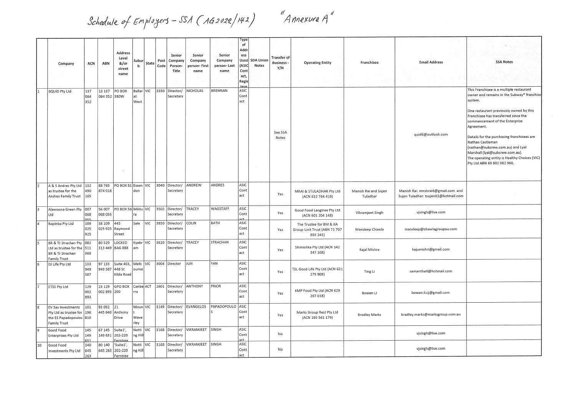*Schedule of Employers - SSA ( AG2022/142)* 

"<br>"Annexure A"

|    | Company                                                                                             | ACN               | ABN                    | Address<br>Level<br>&/or<br>street<br>name      | Subur<br>b               | State      | Post<br>Code | Senior<br>Company<br>Person-<br>Title | Senior<br>Company<br>person- First<br>name | Senior<br>Company<br>person- Last<br>name | Гуре<br>of<br>Addr<br>ess<br>Used<br>(ASIC<br>Cont<br>act,<br>Regis | <b>SDA Unior</b><br>Notes | <b>Transfer of</b><br><b>Business-</b><br>Y/N | <b>Operating Entity</b>                                             | Franchisee                       | <b>Email Address</b>                                                       | <b>SSA Notes</b>                                                                                                                                                                                                                                                                                                                                                                                                                                              |
|----|-----------------------------------------------------------------------------------------------------|-------------------|------------------------|-------------------------------------------------|--------------------------|------------|--------------|---------------------------------------|--------------------------------------------|-------------------------------------------|---------------------------------------------------------------------|---------------------------|-----------------------------------------------|---------------------------------------------------------------------|----------------------------------|----------------------------------------------------------------------------|---------------------------------------------------------------------------------------------------------------------------------------------------------------------------------------------------------------------------------------------------------------------------------------------------------------------------------------------------------------------------------------------------------------------------------------------------------------|
|    | 6QUID Pty Ltd                                                                                       | 137<br>064<br>352 | 13 137<br>064 352 380W | PO BOX                                          | Ballar VIC<br>at<br>West |            | 3350         | Director/<br>Secretary                | <b>VICHOLAS</b>                            | <b>BRENNAN</b>                            | tere<br>ASIC<br>Cont<br>act                                         |                           | See SSA<br>Notes                              |                                                                     |                                  | quid6@outlook.com                                                          | This Franchisee is a multiple restaurant<br>owner and remains in the Subway® franchise<br>system.<br>One restaurant previously owned by this<br>Franchisee has transferred since the<br>commencement of the Enterprise<br>Agreement.<br>Details for the purchasing franchisees are<br>Nathan Castleman<br>(nathan@subcrew.com.au) and Lyal<br>Marshall (lyal@subcrew.com.au).<br>The operating entity is Healthy Choices (VIC)<br>Pty Ltd ABN 69 602 062 966. |
|    | A & S Andres Pty Ltd   132<br>as trustee for the<br>Andres Family Trust                             | 490<br>165        | 88765<br>874 018       | PO BOX 81 Essen VIC                             | don                      |            | 3040         | Director/<br>Secretary                | ANDREW                                     | ANDRES                                    | ASIC<br>Cont<br>act                                                 |                           | Yes                                           | MRAI & STULADHAR Pty Ltd<br>(ACN 632 764 419)                       | Manish Rai and Sujen<br>Tuladhar | Manish Rai: mnshrai4@gmail.com and<br>Sujen Tuladhar: tsujen01@hotmail.com |                                                                                                                                                                                                                                                                                                                                                                                                                                                               |
|    | Alawoona Green Pty 007<br>Ltd                                                                       | 068<br>055        | 56 007<br>068 055      | PO BOX 56 Mildu VIC                             | ra                       |            | 3502         | Director/<br>Secretary                | TRACEY                                     | WAGSTAFF                                  | ASIC<br>Cont<br>irt                                                 |                           | Yes                                           | Good Food Langtree Pty Ltd<br>(ACN 601 204 148)                     | Vikramjeet Singh                 | vjsingh@live.com                                                           |                                                                                                                                                                                                                                                                                                                                                                                                                                                               |
|    | Bapinba Pty Ltd                                                                                     | 109<br>025<br>925 | 38 109<br>025 925      | 445<br>Raymond<br>Street                        | Sale VIC                 |            | 3850         | Director/<br>Secretary                | COLIN                                      | BATH                                      | ASIC<br>Cont<br>act                                                 |                           | Yes                                           | The Trustee for BM & KA<br>Group Unit Trust (ABN 71 707<br>893 245) | Mandeep Chawla                   | mandeep@chawlagroupau.com                                                  |                                                                                                                                                                                                                                                                                                                                                                                                                                                               |
|    | BR & TJ Strachan Pty 082<br>Ltd as trustee for the 511<br>BR & TJ Strachan<br><b>Family Trust</b>   | 368               | 80 5 29                | LOCKED<br>313 449 BAG 888                       | Kyabr VIC<br>am          |            |              | 3620 Director/<br>Secretary           | TRACEY                                     | STRACHAN                                  | ASIC<br>Cont<br>act                                                 |                           | Yes                                           | Shimishka Pty Ltd (ACN 142<br>347 108)                              | Kajal Mishra                     | kajumishri@gmail.com                                                       |                                                                                                                                                                                                                                                                                                                                                                                                                                                               |
| 6  | DJ Life Pty Ltd                                                                                     | 133<br>949<br>587 | 97 133<br>949 587      | Suite 403,<br>448 St<br>Kilda Road              | Melb<br>ourne            | <b>VIC</b> | 3004         | Director                              | JUN                                        | YAN                                       | ASIC<br>Cont<br>act                                                 |                           | Yes                                           | TSL Good Life Pty Ltd (ACN 621<br>279 909)                          | Ting Li                          | samanthatl@hotmail.com                                                     |                                                                                                                                                                                                                                                                                                                                                                                                                                                               |
|    | ETSS Pty Ltd                                                                                        | 129<br>002<br>893 | 23 1 29<br>002 893 200 | GPO BOX                                         | Canbe ACT<br>rra         |            | 2601         | Director/<br>Secretary                | ANTHONY                                    | PRIOR                                     | ASIC<br>Cont<br>act                                                 |                           | Yes                                           | KMP Food Pty Ltd (ACN 629<br>267 018)                               | Bowen Li                         | bowen.li.cj@gmail.com                                                      |                                                                                                                                                                                                                                                                                                                                                                                                                                                               |
|    | EV Sav Investments<br>Pty Ltd as trustee for  196<br>the ES Papadopoulos 810<br><b>Family Trust</b> | 101               | 93 092                 | 21<br>445 640 Anthony<br>Drive                  | Moun VIC<br>Wave<br>rley |            |              | 3149 Director/<br>Secretary           | EVANGELOS                                  | PAPADOPOULO ASIC                          | Cont<br>act                                                         |                           | Yes                                           | Marks Group Rest Pty Ltd<br>(ACN 165 561 179)                       | <b>Bradley Marks</b>             | bradley.marks@marksgroup.com.au                                            |                                                                                                                                                                                                                                                                                                                                                                                                                                                               |
|    | Good Food<br><b>Enterprises Pty Ltd</b>                                                             | 145<br>149<br>631 | 67 145<br>149 631      | Suite1'<br>202-220                              | Notti VIC<br>ng Hill     |            | 3168         | Director/<br>Secretary                | VIKRAMJEET SINGH                           |                                           | ASIC<br>Cont<br>act.                                                |                           | No                                            |                                                                     |                                  | vjsingh@live.com                                                           |                                                                                                                                                                                                                                                                                                                                                                                                                                                               |
| 10 | Good Food<br>Investments Pty Ltd                                                                    | 140<br>645<br>263 | 80 140<br>645 263      | $:$ erntree<br>'Suite1',<br>202-220<br>Ferntree | Notti VIC<br>ng Hill     |            |              | 3168 Director/<br>Secretary           | VIKRAMJEET SINGH                           |                                           | ASIC<br>Cont<br>act                                                 |                           | No                                            |                                                                     |                                  | vjsingh@live.com                                                           |                                                                                                                                                                                                                                                                                                                                                                                                                                                               |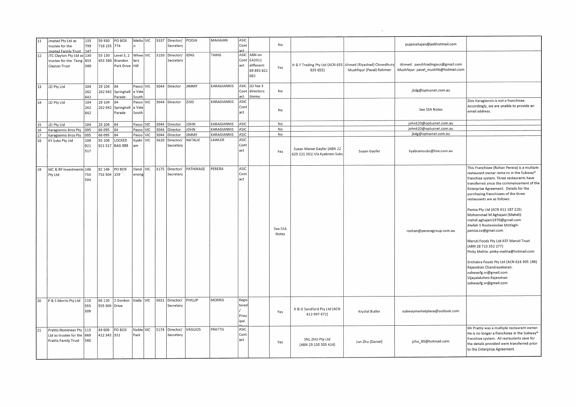| 11 | Jmatad Pty Ltd as<br>trustee for the                                                            | 135<br>799               | 59 930<br>718 235 774   | PO BOX                                     |                   | Melto VIC | 3337 | Director/<br>Secretary      | POOJA       | MAHAJAN       | ASIC<br>Cont                    |                                                          | No               |                                                                       |                          | pujamahajan@jedihotmail.com                                              |                                                                                                                                                                                                                                                                                                                                                                                                                                                                                                                                                                                                                                                                                                                              |
|----|-------------------------------------------------------------------------------------------------|--------------------------|-------------------------|--------------------------------------------|-------------------|-----------|------|-----------------------------|-------------|---------------|---------------------------------|----------------------------------------------------------|------------------|-----------------------------------------------------------------------|--------------------------|--------------------------------------------------------------------------|------------------------------------------------------------------------------------------------------------------------------------------------------------------------------------------------------------------------------------------------------------------------------------------------------------------------------------------------------------------------------------------------------------------------------------------------------------------------------------------------------------------------------------------------------------------------------------------------------------------------------------------------------------------------------------------------------------------------------|
| 12 | Jmatad Family Trust 147<br>JTC Clayton Pty Ltd as 130<br>trustee for the Taing<br>Clayton Trust | 653<br>360               | 53 130<br>653 360       | Level 3, 2<br>Brandon<br>Park Drive   Hill | lers              | Whee VIC  | 3150 | Director/<br>Secretary      | <b>IENG</b> | TAING         | act<br>Cont<br>act              | ASIC ABN on<br>EA2011<br>different:<br>89 893 622<br>082 | Yes              | H & F Trading Pty Ltd (ACN 635 Ahmed (Riyashad) Chowdhury<br>839 655) | Mushfiqur (Paval) Rahman | Ahmed: pandrtradingaus@gmail.com<br>Mushfiqur: pavel_mushfik@hotmail.com |                                                                                                                                                                                                                                                                                                                                                                                                                                                                                                                                                                                                                                                                                                                              |
| 13 | JZJ Pty Ltd                                                                                     | 104<br>262               | 29 104                  | 84<br>262 642 Springhall<br>Parade         | e Vale<br>South   | Pasco VIC |      | 3044 Director               | JIMMY       | KARAGIANNIS   | Cont<br>act                     | ASIC JZJ has 3<br>directors:<br><b>Jimmy</b>             | No               |                                                                       |                          | jkdg@optusnet.com.au                                                     |                                                                                                                                                                                                                                                                                                                                                                                                                                                                                                                                                                                                                                                                                                                              |
| 14 | JZJ Pty Ltd                                                                                     | 642<br>104<br>262<br>642 | 29 104<br>262 642       | 84<br>Springhall<br>Parade                 | e Vale<br>South   | Pasco VIC |      | 3044 Director               | ZISIS       | KARAGIANNIS   | ASIC<br>Cont<br>act             |                                                          | No               |                                                                       |                          | See SSA Notes                                                            | Zisis Karagiannis is not a franchisee.<br>Accordingly, we are unable to provide an<br>email address.                                                                                                                                                                                                                                                                                                                                                                                                                                                                                                                                                                                                                         |
| 15 | JZJ Pty Ltd                                                                                     | 104                      | 29 104                  | 84                                         | Pasco VIC         |           | 3044 | Director                    | <b>MHOL</b> | KARAGIANNIS   | ASIC                            |                                                          | No               |                                                                       |                          | johnk20@optusnet.com.au                                                  |                                                                                                                                                                                                                                                                                                                                                                                                                                                                                                                                                                                                                                                                                                                              |
| 16 | Karagiannis Bros Pty                                                                            | 095                      | 66 095                  | 84                                         | Pasco VIC         |           | 3044 | Director                    | OHN         | KARAGIANNIS   | ASIC                            |                                                          | No               |                                                                       |                          | johnk20@optusnet.com.au                                                  |                                                                                                                                                                                                                                                                                                                                                                                                                                                                                                                                                                                                                                                                                                                              |
| 17 | Karagiannis Bros Pty                                                                            | 095                      | 66 095                  | 84                                         | Pasco VIC         |           | 3044 | Director                    | <b>IMMY</b> | KARAGIANNIS   | ASIC                            |                                                          | No               |                                                                       |                          | jkdg@optusnet.com.au                                                     |                                                                                                                                                                                                                                                                                                                                                                                                                                                                                                                                                                                                                                                                                                                              |
| 18 | KY Subs Pty Ltd                                                                                 | 108<br>921<br>517        | 55 108<br>921517        | LOCKED<br><b>BAG 888</b>                   | Kyabr VIC<br>am   |           | 3620 | Director/<br>Secretary      | VATALIE     | LAWLER        | ASIC<br>Cont<br>act             |                                                          | Yes              | Susan Maree Gayfer (ABN 22<br>629 221 381) t/a Kyabram Subs           | Susan Gayfer             | kyabramsubs@live.com.au                                                  |                                                                                                                                                                                                                                                                                                                                                                                                                                                                                                                                                                                                                                                                                                                              |
| 19 | MC & RP Investments 146<br>Pty Ltd                                                              | 753<br>504               | 82 146<br>753 504       | PO BOX<br>159                              | Dand VIC<br>enong |           | 3175 | Director/<br>Secretary      | PATHIRAGE   | PERERA        | ASIC<br>Cont<br>act             |                                                          | See SSA<br>Notes |                                                                       |                          | roshan@pereragroup.com.au                                                | This Franchisee (Rohan Perera) is a multiple<br>restaurant owner remains in the Subway®<br>franchise system. Three restaurants have<br>transferred since the commencement of the<br>Enterprise Agreement. Details for the<br>purchasing franchisees of the three<br>restaurants are as follows:<br>Panisa Pty Ltd (ACN 611 187 225)<br>Mohammad M Aghajani (Mehdi):<br>mehdi.aghajani1970@gmail.com<br>Atefeh S Rostamkolae Motlagh:<br>panisa.co@gmail.com<br>Maruti Foods Pty Ltd ATF Maruti Trust<br>(ABN 28 723 352 177)<br>Pinky Mehta: pinky-mehta@hotmail.com<br>Srichakra Foods Pty Ltd (ACN 616 305 198)<br>Rajendran Chandrasekaran:<br>subwayfg.vr@gmail.com<br>Vijayalakshmi Rajendran:<br>subwayfg.vr@gmail.com |
| 20 | P & S Morris Pty Ltd                                                                            | 110<br>555<br>309        | 66 110<br>555 309 Drive | 2 Gordon                                   | Kialla VIC        |           | 3631 | Director/<br>Secretary      | PHILLIP     | <b>MORRIS</b> | Regis<br>tered<br>Princ<br>ipal |                                                          | Yes              | K & G Sandford Pty Ltd (ACN<br>612 997 672)                           | Krystal Butler           | subwaymarketplace@outlook.com                                            |                                                                                                                                                                                                                                                                                                                                                                                                                                                                                                                                                                                                                                                                                                                              |
| 21 | Prattis Nominees Pty 113<br>Ltd as trustee for the 669<br>Prattis Family Trust                  | 560                      | 49 009<br>422 343 331   | PO BOX                                     | Noble VIC<br>Park |           |      | 3174 Director/<br>Secretary | VASILIOS    | PRATTIS       | ASIC<br>Cont<br>act             |                                                          | Yes              | SNL ZHU Pty Ltd<br>(ABN 29 138 505 414)                               | Jun Zhu (Daniel)         | jzhu_80@hotmail.com                                                      | Mr Prattis was a multiple restaurant owner.<br>He is no longer a franchisee in the Subway®<br>franchise system. All restaurants save for<br>the details provided were transferred prior<br>to the Enterprise Agreement.                                                                                                                                                                                                                                                                                                                                                                                                                                                                                                      |

 $\label{eq:2.1} \frac{1}{2} \int_{\mathbb{R}^3} \frac{1}{\sqrt{2}} \left( \frac{1}{2} \int_{\mathbb{R}^3} \frac{1}{\sqrt{2}} \left( \frac{1}{2} \int_{\mathbb{R}^3} \frac{1}{\sqrt{2}} \right) \frac{1}{\sqrt{2}} \right) \, d\mathcal{H}^3 \, d\mathcal{H}^3 \, d\mathcal{H}^3 \, d\mathcal{H}^3 \, d\mathcal{H}^3 \, d\mathcal{H}^3 \, d\mathcal{H}^3 \, d\mathcal{H}^3 \, d\mathcal{H}^3 \, d$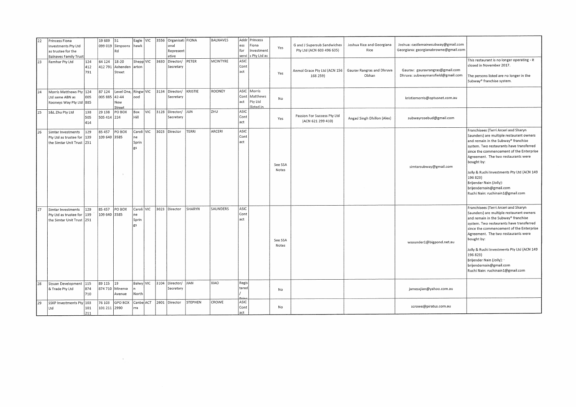| 22 | Princess Fiona               |     | 19 689       | 51         | Eagle VIC    |            | 3556 | Organisati FIONA   |              | BALNAVES        |       | Addr Princess |         |                              |                            |                                      |                                             |
|----|------------------------------|-----|--------------|------------|--------------|------------|------|--------------------|--------------|-----------------|-------|---------------|---------|------------------------------|----------------------------|--------------------------------------|---------------------------------------------|
|    | Investments Pty Ltd          |     | 099 019      | Simpsons   | <b>Ihawk</b> |            |      | lonal              |              |                 | ess   | Fiona         |         | G and J Supersub Sandwiches  | Joshua Rice and Georgiana  | Joshua: castlemainesubway@gmail.com  |                                             |
|    | as trustee for the           |     |              | Rd         |              |            |      | Represent          |              |                 | for   | Investment    | Yes     | Pty Ltd (ACN 603 496 635)    | Rice                       | Georgiana: georgianabrowne@gmail.com |                                             |
|    | <b>Balnaves Family Trust</b> |     |              |            |              |            |      | ative              |              |                 | servi | s Pty Ltd as  |         |                              |                            |                                      |                                             |
| 23 |                              | 124 | 64 124       | 18-20      | Shepp VIC    |            | 3630 | Director/          | PETER        | <b>MCINTYRE</b> | ASIC  |               |         |                              |                            |                                      | This restaurant is no longer operating - it |
|    | Remhar Pty Ltd               |     |              |            |              |            |      |                    |              |                 | Cont  |               |         |                              |                            |                                      | closed in November 2017.                    |
|    |                              | 412 | 412 791      | Ashenden   | arton        |            |      | Secretary          |              |                 |       |               |         | Anmol Grace Pty Ltd (ACN 156 | Gaurav Rangras and Dhruva  | Gaurav: gauravrangras@gmail.com      |                                             |
|    |                              | 791 |              | Street     |              |            |      |                    |              |                 | act   |               | Yes     |                              | Obhan                      | Dhruva: subwaymansfield@gmail.com    | The persons listed are no longer in the     |
|    |                              |     |              |            |              |            |      |                    |              |                 |       |               |         | 168 259)                     |                            |                                      |                                             |
|    |                              |     |              |            |              |            |      |                    |              |                 |       |               |         |                              |                            |                                      | Subway® franchise system.                   |
|    |                              |     |              |            |              |            |      |                    |              |                 |       |               |         |                              |                            |                                      |                                             |
| 24 | Morris Matthews Pty 124      |     | 87 124       | Level One, | Ringw VIC    |            | 3134 | Director/          | KRISTIE      | ROONEY          | ASIC  | Morris        |         |                              |                            |                                      |                                             |
|    | Ltd same ABN as              | 005 | 005 885      | 42-44      | lood         |            |      | Secretary          |              |                 | Cont  | Matthews      | No      |                              |                            | kristiemorris@optusnet.com.au        |                                             |
|    | Rooneys Way Pty Ltd 885      |     |              | New        |              |            |      |                    |              |                 | act   | Pty Ltd       |         |                              |                            |                                      |                                             |
|    |                              |     |              | Street     |              |            |      |                    |              |                 |       | (listed in    |         |                              |                            |                                      |                                             |
| 25 | S&L Zhu Pty Ltd              | 138 | 29 138       | PO BOX     | <b>Box</b>   | <b>VIC</b> |      | 3128 Director/ JUN |              | ZHU             | ASIC  |               |         |                              |                            |                                      |                                             |
|    |                              | 505 | 505 414      | 224        | Hill         |            |      | Secretary          |              |                 | Cont  |               | Yes     | Passion For Success Pty Ltd  | Angad Singh Dhillon (Alex) | subwayrosebud@gmail.com              |                                             |
|    |                              | 414 |              |            |              |            |      |                    |              |                 | act   |               |         | (ACN 621 299 410)            |                            |                                      |                                             |
|    |                              |     |              |            |              |            |      |                    |              |                 |       |               |         |                              |                            |                                      |                                             |
| 26 | Simtar Investments           | 129 | 85 457       | PO BOX     | Caroli VIC   |            | 3023 | Director           | <b>TERRI</b> | ARCERI          | ASIC  |               |         |                              |                            |                                      | Franchisees (Terri Arceri and Sharyn        |
|    | Pty Ltd as trustee for       | 139 | 109 640      | 3585       | ne           |            |      |                    |              |                 | Cont  |               |         |                              |                            |                                      | Saunders) are multiple restaurant owners    |
|    | the Simtar Unit Trust 251    |     |              |            | Sprin        |            |      |                    |              |                 | act   |               |         |                              |                            |                                      | and remain in the Subway® franchise         |
|    |                              |     |              |            |              |            |      |                    |              |                 |       |               |         |                              |                            |                                      | system. Two restaurants have transferred    |
|    |                              |     |              |            | l gs         |            |      |                    |              |                 |       |               |         |                              |                            |                                      | since the commencement of the Enterprise    |
|    |                              |     |              |            |              |            |      |                    |              |                 |       |               |         |                              |                            |                                      | Agreement. The two restaurants were         |
|    |                              |     |              |            |              |            |      |                    |              |                 |       |               |         |                              |                            |                                      |                                             |
|    |                              |     |              |            |              |            |      |                    |              |                 |       |               | See SSA |                              |                            |                                      | bought by:                                  |
|    |                              |     |              |            |              |            |      |                    |              |                 |       |               | Notes   |                              |                            | simtarsubway@gmail.com               |                                             |
|    |                              |     |              |            |              |            |      |                    |              |                 |       |               |         |                              |                            |                                      | Jolly & Ruchi Investments Pty Ltd (ACN 149  |
|    |                              |     |              |            |              |            |      |                    |              |                 |       |               |         |                              |                            |                                      | 196 823)                                    |
|    |                              |     |              |            |              |            |      |                    |              |                 |       |               |         |                              |                            |                                      | Brijender Nain (Jolly):                     |
|    |                              |     |              |            |              |            |      |                    |              |                 |       |               |         |                              |                            |                                      | brijendernain@gmail.com                     |
|    |                              |     |              |            |              |            |      |                    |              |                 |       |               |         |                              |                            |                                      | Ruchi Nain: ruchinain1@gmail.com            |
|    |                              |     |              |            |              |            |      |                    |              |                 |       |               |         |                              |                            |                                      |                                             |
|    |                              |     |              |            |              |            |      |                    |              |                 |       |               |         |                              |                            |                                      |                                             |
|    |                              |     |              |            | Caroli VIC   |            | 3023 | Director           | SHARYN       | SAUNDERS        | ASIC  |               |         |                              |                            |                                      | Franchisees (Terri Arceri and Sharyn        |
| 27 | Simtar Investments           | 129 | 85 457       | PO BOX     |              |            |      |                    |              |                 |       |               |         |                              |                            |                                      | Saunders) are multiple restaurant owners    |
|    | Pty Ltd as trustee for       | 139 | 109 640 3585 |            | ne           |            |      |                    |              |                 | Cont  |               |         |                              |                            |                                      | and remain in the Subway® franchise         |
|    | the Simtar Unit Trust 251    |     |              |            | Sprin        |            |      |                    |              |                 | act   |               |         |                              |                            |                                      |                                             |
|    |                              |     |              |            | l gs         |            |      |                    |              |                 |       |               |         |                              |                            |                                      | system. Two restaurants have transferred    |
|    |                              |     |              |            |              |            |      |                    |              |                 |       |               |         |                              |                            |                                      | since the commencement of the Enterprise    |
|    |                              |     |              |            |              |            |      |                    |              |                 |       |               |         |                              |                            |                                      | Agreement. The two restaurants were         |
|    |                              |     |              |            |              |            |      |                    |              |                 |       |               | See SSA |                              |                            |                                      | bought by:                                  |
|    |                              |     |              |            |              |            |      |                    |              |                 |       |               | Notes   |                              |                            | wsaunder1@bigpond.net.au             |                                             |
|    |                              |     |              |            |              |            |      |                    |              |                 |       |               |         |                              |                            |                                      | Jolly & Ruchi Investments Pty Ltd (ACN 149  |
|    |                              |     |              |            |              |            |      |                    |              |                 |       |               |         |                              |                            |                                      | 196 823)                                    |
|    |                              |     |              |            |              |            |      |                    |              |                 |       |               |         |                              |                            |                                      |                                             |
|    |                              |     |              |            |              |            |      |                    |              |                 |       |               |         |                              |                            |                                      | Brijender Nain (Jolly):                     |
|    |                              |     |              |            |              |            |      |                    |              |                 |       |               |         |                              |                            |                                      | brijendernain@gmail.com                     |
|    |                              |     |              |            |              |            |      |                    |              |                 |       |               |         |                              |                            |                                      | Ruchi Nain: ruchinain1@gmail.com            |
|    |                              |     |              |            |              |            |      |                    |              |                 |       |               |         |                              |                            |                                      |                                             |
| 28 | Siyuan Development           | 115 | 89 115       | 19         | Balwy VIC    |            | 3104 | Director/ JIAN     |              | XIAO            | Regis |               |         |                              |                            |                                      |                                             |
|    | & Trade Pty Ltd              | 874 | 874 710      | Minerva    |              |            |      | Secretary          |              |                 | tered |               | No      |                              |                            | jamesxjian@yahoo.com.au              |                                             |
|    |                              | 710 |              | Avenue     | North        |            |      |                    |              |                 |       |               |         |                              |                            |                                      |                                             |
|    |                              |     |              |            |              |            |      |                    |              |                 | Drin  |               |         |                              |                            |                                      |                                             |
| 29 | <b>SSKP Investments Pty</b>  | 103 | 76 103       | GPO BOX    | Canbe ACT    |            |      | 2601 Director      | STEPHEN      | CROWE           | ASIC  |               |         |                              |                            |                                      |                                             |
|    | Ltd                          | 101 | 101 211 2990 |            | rra          |            |      |                    |              |                 | Cont  |               | No      |                              |                            | scrowe@piratus.com.au                |                                             |
|    |                              | 211 |              |            |              |            |      |                    |              |                 | act   |               |         |                              |                            |                                      |                                             |

 $\label{eq:2.1} \Delta_{\rm eff} = \frac{1}{2} \sum_{\alpha \in \mathbb{Z}} \left[ \frac{1}{\alpha} \sum_{\alpha \in \mathbb{Z}} \left( \frac{1}{\alpha} \sum_{\alpha \in \mathbb{Z}} \frac{1}{\alpha} \right) \right] \, \mathrm{d} \alpha \, \mathrm{d} \alpha \, \mathrm{d} \beta \, \mathrm{d} \beta \, \mathrm{d} \beta \, \mathrm{d} \beta \, \mathrm{d} \beta \, \mathrm{d} \beta \, \mathrm{d} \beta \, \mathrm{d} \beta \, \mathrm{d} \beta \, \mathrm{d} \beta \, \mathrm{d} \beta \, \mathrm$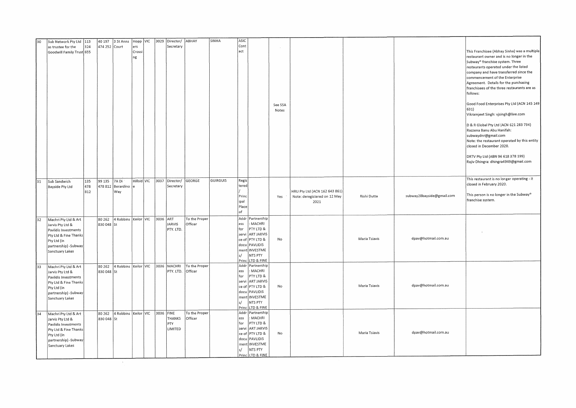| 30 | Sub Network Pty Ltd   113<br>as trustee for the<br>Goodwill Family Trust 655                                                                         | 324               | 40 197<br>474 252 Court | 3 St Anns                               | ers<br>Crossi<br>ng | Hopp VIC    |           | 3029 Director/<br>Secretary | ABHAY                    | SINHA           | ASIC<br>Cont<br>act                            |                                                                                                                                                  | See SSA<br>Notes |                                                                       |               |                           | This Franchisee (Abhay Sinha) was a multiple<br>restaurant owner and is no longer in the<br>Subway <sup>®</sup> franchise system. Three<br>restaurants operated under the listed<br>company and have transferred since the<br>commencement of the Enterprise<br>Agreement. Details for the purchasing<br>franchisees of the three restaurants are as<br>follows:<br>Good Food Enterprises Pty Ltd (ACN 145 149<br>631)<br>Vikramjeet Singh: vjsingh@live.com<br>D & R Global Pty Ltd (ACN 621 283 734)<br>Razzena Banu Abu Hanifah:<br>subwaydnr@gmail.com<br>Note: the restaurant operated by this entity<br>closed in December 2020.<br>DRTV Pty Ltd (ABN 96 618 378 199)<br>Rajiv Dhingra: dhingra4949@gmail.com |
|----|------------------------------------------------------------------------------------------------------------------------------------------------------|-------------------|-------------------------|-----------------------------------------|---------------------|-------------|-----------|-----------------------------|--------------------------|-----------------|------------------------------------------------|--------------------------------------------------------------------------------------------------------------------------------------------------|------------------|-----------------------------------------------------------------------|---------------|---------------------------|---------------------------------------------------------------------------------------------------------------------------------------------------------------------------------------------------------------------------------------------------------------------------------------------------------------------------------------------------------------------------------------------------------------------------------------------------------------------------------------------------------------------------------------------------------------------------------------------------------------------------------------------------------------------------------------------------------------------|
| 31 | Sub Sandwich<br>Bayside Pty Ltd                                                                                                                      | 135<br>478<br>812 | 99 135<br>478 812       | 7A Di<br>Berardino<br>Way               |                     | Hillsid VIC |           | 3037 Director/<br>Secretary | GEORGE                   | <b>GUIRGUIS</b> | Regis<br>tered<br>Princ<br>ipal<br>Place<br>of |                                                                                                                                                  | Yes              | HRU Pty Ltd (ACN 162 643 861)<br>Note: deregistered on 12 May<br>2021 | Rishi Dutta   | subway28bayside@gmail.com | This restaurant is no longer operating - it<br>closed in February 2020.<br>This person is no longer in the Subway®<br>franchise system.                                                                                                                                                                                                                                                                                                                                                                                                                                                                                                                                                                             |
| 32 | Machri Pty Ltd & Art<br>Jarvis Pty Ltd &<br>Pavlidis Investments<br>Pty Ltd & Fine Thanks<br>Pty Ltd (in<br>partnership) - Subway<br>Sanctuary Lakes |                   | 80 26 2<br>830 048 St   | 4 Robbins   Keilor   VIC   3036         |                     |             |           | ART<br>JARVIS<br>PTY. LTD.  | To the Proper<br>Officer |                 | ess<br>for<br>servi<br>s/                      | Addr Partnership<br>MACHRI<br>PTY LTD &<br>ART JARVIS<br>ce of PTY LTD &<br>docu PAVLIDIS<br>ment INVESTME<br>NTS PTY<br>Princ LTD & FINE        | No               |                                                                       | Maria Tsiavis | dpav@hotmail.com.au       |                                                                                                                                                                                                                                                                                                                                                                                                                                                                                                                                                                                                                                                                                                                     |
| 33 | Machri Pty Ltd & Art<br>Jarvis Pty Ltd &<br>Pavlidis Investments<br>Pty Ltd & Fine Thanks<br>Pty Ltd (in<br>partnership) - Subway<br>Sanctuary Lakes |                   | 830 048 St              | 80 262 4 Robbins Keilor VIC 3036 MACHRI |                     |             |           | PTY. LTD.                   | To the Proper<br>Officer |                 | ess<br>for<br>servi<br>s/                      | Addr Partnership<br>MACHRI<br>PTY LTD &<br><b>ART JARVIS</b><br>ce of PTY LTD &<br>docu PAVLIDIS<br>ment INVESTME<br>NTS PTY<br>Princ LTD & FINE | No               |                                                                       | Maria Tsiavis | dpav@hotmail.com.au       |                                                                                                                                                                                                                                                                                                                                                                                                                                                                                                                                                                                                                                                                                                                     |
| 34 | Machri Pty Ltd & Art<br>Jarvis Pty Ltd &<br>Pavlidis Investments<br>Pty Ltd & Fine Thanks<br>Pty Ltd (in<br>partnership) -Subway<br>Sanctuary Lakes  |                   | 80 26 2<br>830 048 St   | 4 Robbins   Keilor   VIC                |                     |             | 3036 FINE | THANKS<br>PTY<br>LIMITED    | To the Proper<br>Officer |                 | ess<br>for<br>servi<br>ce of<br>docu<br>s/     | Addr Partnership<br>MACHRI<br>PTY LTD &<br><b>ART JARVIS</b><br>PTY LTD &<br>PAVLIDIS<br>ment INVESTME<br>NTS PTY<br>Princ LTD & FINE            | No               |                                                                       | Maria Tsiavis | dpav@hotmail.com.au       |                                                                                                                                                                                                                                                                                                                                                                                                                                                                                                                                                                                                                                                                                                                     |

 $\sim 0.3$